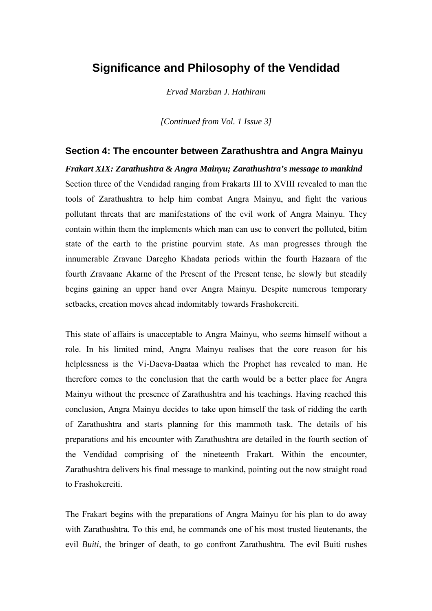# **Significance and Philosophy of the Vendidad**

*Ervad Marzban J. Hathiram*

*[Continued from Vol. 1 Issue 3]*

#### **Section 4: The encounter between Zarathushtra and Angra Mainyu**

*Frakart XIX: Zarathushtra & Angra Mainyu; Zarathushtra's message to mankind*  Section three of the Vendidad ranging from Frakarts III to XVIII revealed to man the tools of Zarathushtra to help him combat Angra Mainyu, and fight the various pollutant threats that are manifestations of the evil work of Angra Mainyu. They contain within them the implements which man can use to convert the polluted, bitim state of the earth to the pristine pourvim state. As man progresses through the innumerable Zravane Daregho Khadata periods within the fourth Hazaara of the fourth Zravaane Akarne of the Present of the Present tense, he slowly but steadily begins gaining an upper hand over Angra Mainyu. Despite numerous temporary setbacks, creation moves ahead indomitably towards Frashokereiti.

This state of affairs is unacceptable to Angra Mainyu, who seems himself without a role. In his limited mind, Angra Mainyu realises that the core reason for his helplessness is the Vi-Daeva-Daataa which the Prophet has revealed to man. He therefore comes to the conclusion that the earth would be a better place for Angra Mainyu without the presence of Zarathushtra and his teachings. Having reached this conclusion, Angra Mainyu decides to take upon himself the task of ridding the earth of Zarathushtra and starts planning for this mammoth task. The details of his preparations and his encounter with Zarathushtra are detailed in the fourth section of the Vendidad comprising of the nineteenth Frakart. Within the encounter, Zarathushtra delivers his final message to mankind, pointing out the now straight road to Frashokereiti.

The Frakart begins with the preparations of Angra Mainyu for his plan to do away with Zarathushtra. To this end, he commands one of his most trusted lieutenants, the evil *Buiti,* the bringer of death, to go confront Zarathushtra. The evil Buiti rushes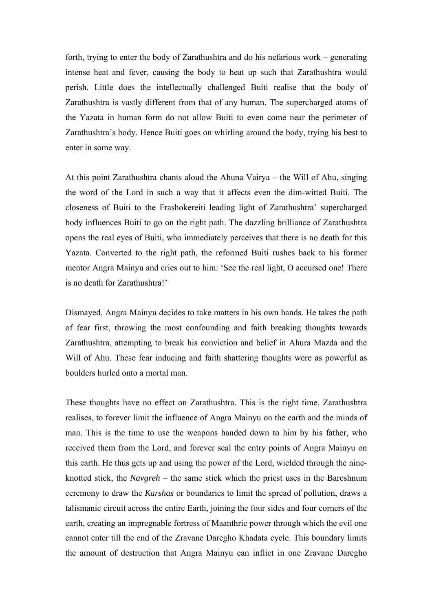forth, trying to enter the body of Zarathushtra and do his nefarious work – generating intense heat and fever, causing the body to heat up such that Zarathushtra would perish. Little does the intellectually challenged Buiti realise that the body of Zarathushtra is vastly different from that of any human. The supercharged atoms of the Yazata in human form do not allow Buiti to even come near the perimeter of Zarathushtra's body. Hence Buiti goes on whirling around the body, trying his best to enter in some way.

At this point Zarathushtra chants aloud the Ahuna Vairya – the Will of Ahu, singing the word of the Lord in such a way that it affects even the dim-witted Buiti. The closeness of Buiti to the Frashokereiti leading light of Zarathushtra' supercharged body influences Buiti to go on the right path. The dazzling brilliance of Zarathushtra opens the real eyes of Buiti, who immediately perceives that there is no death for this Yazata. Converted to the right path, the reformed Buiti rushes back to his former mentor Angra Mainyu and cries out to him: 'See the real light, O accursed one! There is no death for Zarathushtra!'

Dismayed, Angra Mainyu decides to take matters in his own hands. He takes the path of fear first, throwing the most confounding and faith breaking thoughts towards Zarathushtra, attempting to break his conviction and belief in Ahura Mazda and the Will of Ahu. These fear inducing and faith shattering thoughts were as powerful as boulders hurled onto a mortal man.

These thoughts have no effect on Zarathushtra. This is the right time, Zarathushtra realises, to forever limit the influence of Angra Mainyu on the earth and the minds of man. This is the time to use the weapons handed down to him by his father, who received them from the Lord, and forever seal the entry points of Angra Mainyu on this earth. He thus gets up and using the power of the Lord, wielded through the nineknotted stick, the *Navgreh* – the same stick which the priest uses in the Bareshnum ceremony to draw the *Karshas* or boundaries to limit the spread of pollution, draws a talismanic circuit across the entire Earth, joining the four sides and four corners of the earth, creating an impregnable fortress of Maanthric power through which the evil one cannot enter till the end of the Zravane Daregho Khadata cycle. This boundary limits the amount of destruction that Angra Mainyu can inflict in one Zravane Daregho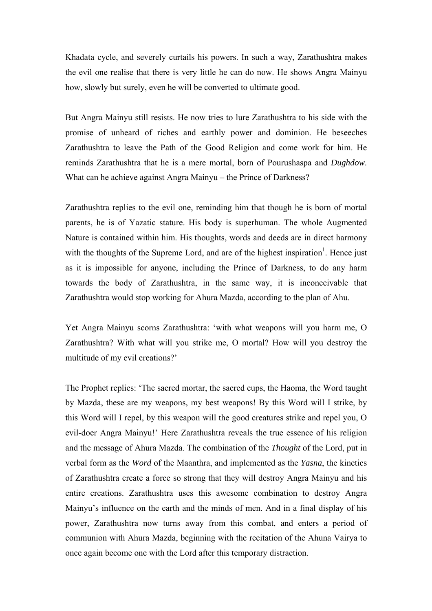Khadata cycle, and severely curtails his powers. In such a way, Zarathushtra makes the evil one realise that there is very little he can do now. He shows Angra Mainyu how, slowly but surely, even he will be converted to ultimate good.

But Angra Mainyu still resists. He now tries to lure Zarathushtra to his side with the promise of unheard of riches and earthly power and dominion. He beseeches Zarathushtra to leave the Path of the Good Religion and come work for him. He reminds Zarathushtra that he is a mere mortal, born of Pourushaspa and *Dughdow*. What can he achieve against Angra Mainyu – the Prince of Darkness?

Zarathushtra replies to the evil one, reminding him that though he is born of mortal parents, he is of Yazatic stature. His body is superhuman. The whole Augmented Nature is contained within him. His thoughts, words and deeds are in direct harmony with the thoughts of the Supreme Lord, and are of the highest inspiration<sup>[1](#page-8-0)</sup>. Hence just as it is impossible for anyone, including the Prince of Darkness, to do any harm towards the body of Zarathushtra, in the same way, it is inconceivable that Zarathushtra would stop working for Ahura Mazda, according to the plan of Ahu.

Yet Angra Mainyu scorns Zarathushtra: 'with what weapons will you harm me, O Zarathushtra? With what will you strike me, O mortal? How will you destroy the multitude of my evil creations?'

The Prophet replies: 'The sacred mortar, the sacred cups, the Haoma, the Word taught by Mazda, these are my weapons, my best weapons! By this Word will I strike, by this Word will I repel, by this weapon will the good creatures strike and repel you, O evil-doer Angra Mainyu!' Here Zarathushtra reveals the true essence of his religion and the message of Ahura Mazda. The combination of the *Thought* of the Lord, put in verbal form as the *Word* of the Maanthra, and implemented as the *Yasna*, the kinetics of Zarathushtra create a force so strong that they will destroy Angra Mainyu and his entire creations. Zarathushtra uses this awesome combination to destroy Angra Mainyu's influence on the earth and the minds of men. And in a final display of his power, Zarathushtra now turns away from this combat, and enters a period of communion with Ahura Mazda, beginning with the recitation of the Ahuna Vairya to once again become one with the Lord after this temporary distraction.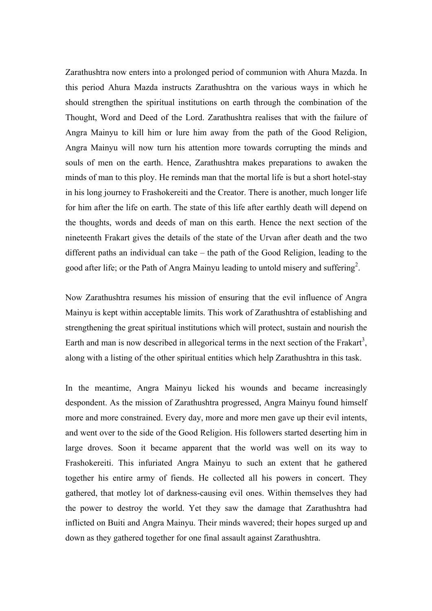Zarathushtra now enters into a prolonged period of communion with Ahura Mazda. In this period Ahura Mazda instructs Zarathushtra on the various ways in which he should strengthen the spiritual institutions on earth through the combination of the Thought, Word and Deed of the Lord. Zarathushtra realises that with the failure of Angra Mainyu to kill him or lure him away from the path of the Good Religion, Angra Mainyu will now turn his attention more towards corrupting the minds and souls of men on the earth. Hence, Zarathushtra makes preparations to awaken the minds of man to this ploy. He reminds man that the mortal life is but a short hotel-stay in his long journey to Frashokereiti and the Creator. There is another, much longer life for him after the life on earth. The state of this life after earthly death will depend on the thoughts, words and deeds of man on this earth. Hence the next section of the nineteenth Frakart gives the details of the state of the Urvan after death and the two different paths an individual can take – the path of the Good Religion, leading to the good after life; or the Path of Angra Mainyu leading to untold misery and suffering<sup>2</sup>[.](#page-8-1)

Now Zarathushtra resumes his mission of ensuring that the evil influence of Angra Mainyu is kept within acceptable limits. This work of Zarathushtra of establishing and strengthening the great spiritual institutions which will protect, sustain and nourish the Earth and man is now described in allegorical terms in the next section of the Frakart<sup>[3](#page-8-2)</sup>, along with a listing of the other spiritual entities which help Zarathushtra in this task.

In the meantime, Angra Mainyu licked his wounds and became increasingly despondent. As the mission of Zarathushtra progressed, Angra Mainyu found himself more and more constrained. Every day, more and more men gave up their evil intents, and went over to the side of the Good Religion. His followers started deserting him in large droves. Soon it became apparent that the world was well on its way to Frashokereiti. This infuriated Angra Mainyu to such an extent that he gathered together his entire army of fiends. He collected all his powers in concert. They gathered, that motley lot of darkness-causing evil ones. Within themselves they had the power to destroy the world. Yet they saw the damage that Zarathushtra had inflicted on Buiti and Angra Mainyu. Their minds wavered; their hopes surged up and down as they gathered together for one final assault against Zarathushtra.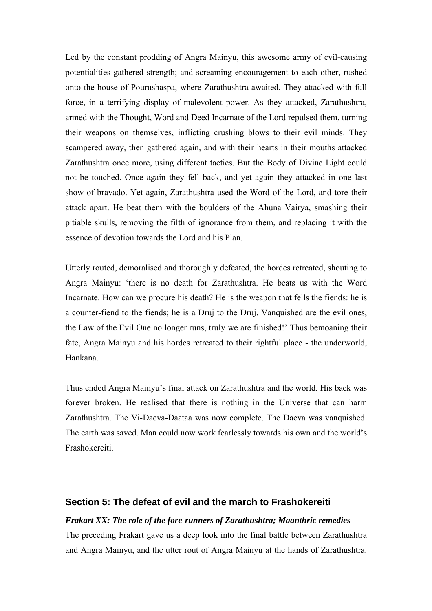Led by the constant prodding of Angra Mainyu, this awesome army of evil-causing potentialities gathered strength; and screaming encouragement to each other, rushed onto the house of Pourushaspa, where Zarathushtra awaited. They attacked with full force, in a terrifying display of malevolent power. As they attacked, Zarathushtra, armed with the Thought, Word and Deed Incarnate of the Lord repulsed them, turning their weapons on themselves, inflicting crushing blows to their evil minds. They scampered away, then gathered again, and with their hearts in their mouths attacked Zarathushtra once more, using different tactics. But the Body of Divine Light could not be touched. Once again they fell back, and yet again they attacked in one last show of bravado. Yet again, Zarathushtra used the Word of the Lord, and tore their attack apart. He beat them with the boulders of the Ahuna Vairya, smashing their pitiable skulls, removing the filth of ignorance from them, and replacing it with the essence of devotion towards the Lord and his Plan.

Utterly routed, demoralised and thoroughly defeated, the hordes retreated, shouting to Angra Mainyu: 'there is no death for Zarathushtra. He beats us with the Word Incarnate. How can we procure his death? He is the weapon that fells the fiends: he is a counter-fiend to the fiends; he is a Druj to the Druj. Vanquished are the evil ones, the Law of the Evil One no longer runs, truly we are finished!' Thus bemoaning their fate, Angra Mainyu and his hordes retreated to their rightful place - the underworld, Hankana.

Thus ended Angra Mainyu's final attack on Zarathushtra and the world. His back was forever broken. He realised that there is nothing in the Universe that can harm Zarathushtra. The Vi-Daeva-Daataa was now complete. The Daeva was vanquished. The earth was saved. Man could now work fearlessly towards his own and the world's Frashokereiti.

## **Section 5: The defeat of evil and the march to Frashokereiti**

### *Frakart XX: The role of the fore-runners of Zarathushtra; Maanthric remedies*

The preceding Frakart gave us a deep look into the final battle between Zarathushtra and Angra Mainyu, and the utter rout of Angra Mainyu at the hands of Zarathushtra.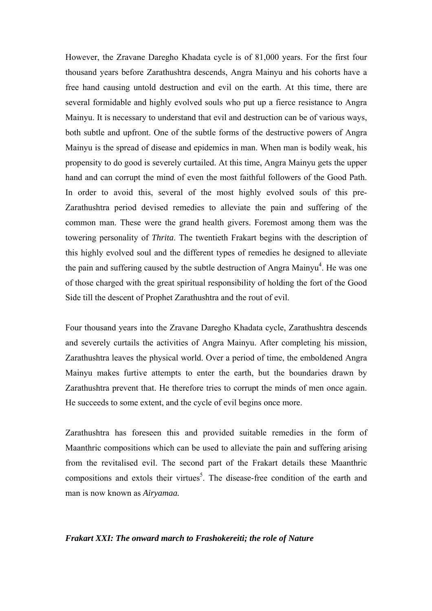However, the Zravane Daregho Khadata cycle is of 81,000 years. For the first four thousand years before Zarathushtra descends, Angra Mainyu and his cohorts have a free hand causing untold destruction and evil on the earth. At this time, there are several formidable and highly evolved souls who put up a fierce resistance to Angra Mainyu. It is necessary to understand that evil and destruction can be of various ways, both subtle and upfront. One of the subtle forms of the destructive powers of Angra Mainyu is the spread of disease and epidemics in man. When man is bodily weak, his propensity to do good is severely curtailed. At this time, Angra Mainyu gets the upper hand and can corrupt the mind of even the most faithful followers of the Good Path. In order to avoid this, several of the most highly evolved souls of this pre-Zarathushtra period devised remedies to alleviate the pain and suffering of the common man. These were the grand health givers. Foremost among them was the towering personality of *Thrita*. The twentieth Frakart begins with the description of this highly evolved soul and the different types of remedies he designed to alleviate the pain and suffering caused by the subtle destruction of Angra Mainyu<sup>[4](#page-8-3)</sup>. He was one of those charged with the great spiritual responsibility of holding the fort of the Good Side till the descent of Prophet Zarathushtra and the rout of evil.

Four thousand years into the Zravane Daregho Khadata cycle, Zarathushtra descends and severely curtails the activities of Angra Mainyu. After completing his mission, Zarathushtra leaves the physical world. Over a period of time, the emboldened Angra Mainyu makes furtive attempts to enter the earth, but the boundaries drawn by Zarathushtra prevent that. He therefore tries to corrupt the minds of men once again. He succeeds to some extent, and the cycle of evil begins once more.

Zarathushtra has foreseen this and provided suitable remedies in the form of Maanthric compositions which can be used to alleviate the pain and suffering arising from the revitalised evil. The second part of the Frakart details these Maanthric compositions and extols their virtues<sup>5</sup>. The disease-free condition of the earth and man is now known as *Airyamaa.*

#### *Frakart XXI: The onward march to Frashokereiti; the role of Nature*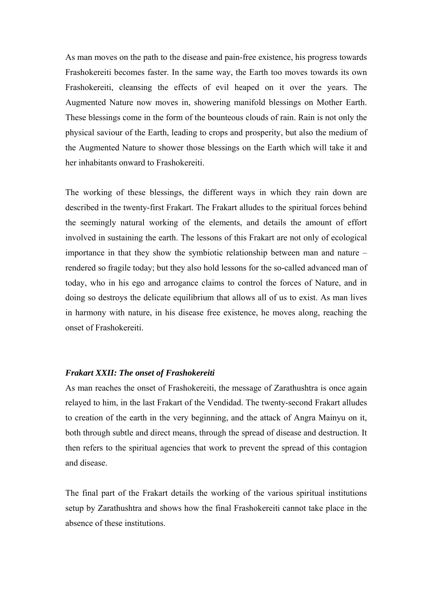As man moves on the path to the disease and pain-free existence, his progress towards Frashokereiti becomes faster. In the same way, the Earth too moves towards its own Frashokereiti, cleansing the effects of evil heaped on it over the years. The Augmented Nature now moves in, showering manifold blessings on Mother Earth. These blessings come in the form of the bounteous clouds of rain. Rain is not only the physical saviour of the Earth, leading to crops and prosperity, but also the medium of the Augmented Nature to shower those blessings on the Earth which will take it and her inhabitants onward to Frashokereiti.

The working of these blessings, the different ways in which they rain down are described in the twenty-first Frakart. The Frakart alludes to the spiritual forces behind the seemingly natural working of the elements, and details the amount of effort involved in sustaining the earth. The lessons of this Frakart are not only of ecological importance in that they show the symbiotic relationship between man and nature – rendered so fragile today; but they also hold lessons for the so-called advanced man of today, who in his ego and arrogance claims to control the forces of Nature, and in doing so destroys the delicate equilibrium that allows all of us to exist. As man lives in harmony with nature, in his disease free existence, he moves along, reaching the onset of Frashokereiti.

#### *Frakart XXII: The onset of Frashokereiti*

As man reaches the onset of Frashokereiti, the message of Zarathushtra is once again relayed to him, in the last Frakart of the Vendidad. The twenty-second Frakart alludes to creation of the earth in the very beginning, and the attack of Angra Mainyu on it, both through subtle and direct means, through the spread of disease and destruction. It then refers to the spiritual agencies that work to prevent the spread of this contagion and disease.

The final part of the Frakart details the working of the various spiritual institutions setup by Zarathushtra and shows how the final Frashokereiti cannot take place in the absence of these institutions.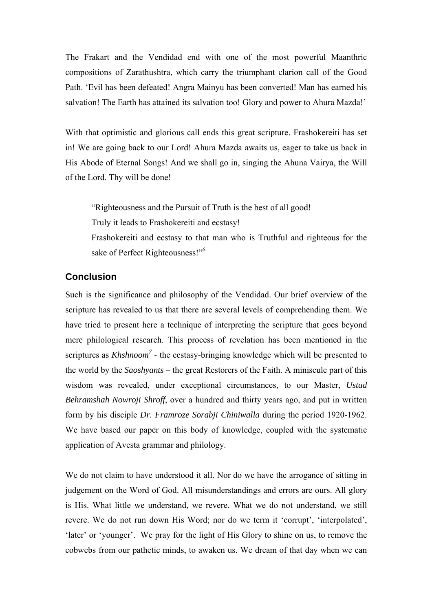The Frakart and the Vendidad end with one of the most powerful Maanthric compositions of Zarathushtra, which carry the triumphant clarion call of the Good Path. 'Evil has been defeated! Angra Mainyu has been converted! Man has earned his salvation! The Earth has attained its salvation too! Glory and power to Ahura Mazda!'

With that optimistic and glorious call ends this great scripture. Frashokereiti has set in! We are going back to our Lord! Ahura Mazda awaits us, eager to take us back in His Abode of Eternal Songs! And we shall go in, singing the Ahuna Vairya, the Will of the Lord. Thy will be done!

"Righteousness and the Pursuit of Truth is the best of all good!

Truly it leads to Frashokereiti and ecstasy!

Frashokereiti and ecstasy to that man who is Truthful and righteous for the sake of Perfect Righteousness!"<sup>[6](#page-8-5)</sup>

# **Conclusion**

Such is the significance and philosophy of the Vendidad. Our brief overview of the scripture has revealed to us that there are several levels of comprehending them. We have tried to present here a technique of interpreting the scripture that goes beyond mere philological research. This process of revelation has been mentioned in the scriptures as *Khshnoom*<sup>[7](#page-8-6)</sup> - the ecstasy-bringing knowledge which will be presented to the world by the *Saoshyants* – the great Restorers of the Faith. A miniscule part of this wisdom was revealed, under exceptional circumstances, to our Master, *Ustad Behramshah Nowroji Shroff*, over a hundred and thirty years ago, and put in written form by his disciple *Dr. Framroze Sorabji Chiniwalla* during the period 1920-1962. We have based our paper on this body of knowledge, coupled with the systematic application of Avesta grammar and philology.

We do not claim to have understood it all. Nor do we have the arrogance of sitting in judgement on the Word of God. All misunderstandings and errors are ours. All glory is His. What little we understand, we revere. What we do not understand, we still revere. We do not run down His Word; nor do we term it 'corrupt', 'interpolated', 'later' or 'younger'. We pray for the light of His Glory to shine on us, to remove the cobwebs from our pathetic minds, to awaken us. We dream of that day when we can